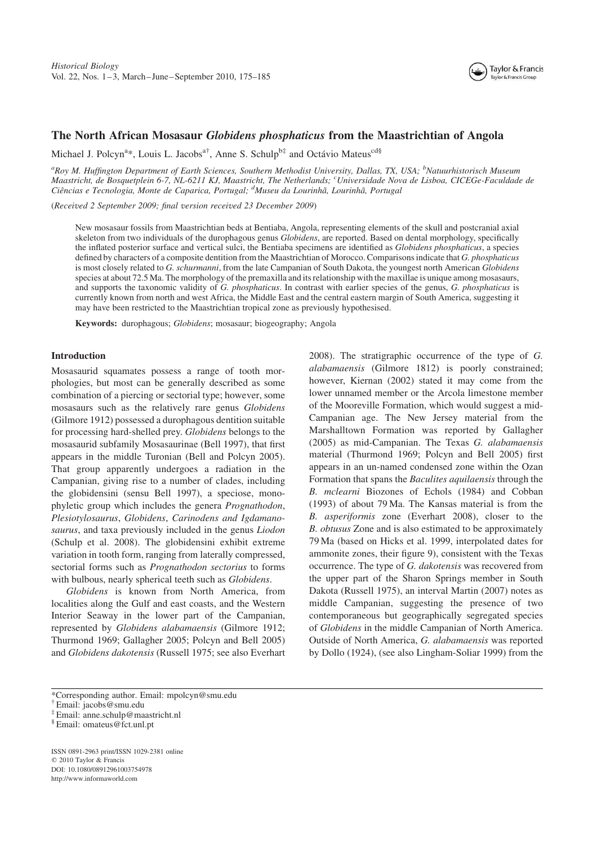

# The North African Mosasaur Globidens phosphaticus from the Maastrichtian of Angola

Michael J. Polcyn<sup>a</sup>\*, Louis L. Jacobs<sup>a†</sup>, Anne S. Schulp<sup>b‡</sup> and Octávio Mateus<sup>cd§</sup>

<sup>a</sup>Roy M. Huffington Department of Earth Sciences, Southern Methodist University, Dallas, TX, USA; <sup>b</sup>Natuurhistorisch Museum Maastricht, de Bosquetplein 6-7, NL-6211 KJ, Maastricht, The Netherlands; <sup>c</sup>Universidade Nova de Lisboa, CICEGe-Faculdade de Ciências e Tecnologia, Monte de Caparica, Portugal; <sup>d</sup>Museu da Lourinhã, Lourinhã, Portugal

(Received 2 September 2009; final version received 23 December 2009)

New mosasaur fossils from Maastrichtian beds at Bentiaba, Angola, representing elements of the skull and postcranial axial skeleton from two individuals of the durophagous genus *Globidens*, are reported. Based on dental morphology, specifically the inflated posterior surface and vertical sulci, the Bentiaba specimens are identified as *Globidens phosphaticus*, a species defined by characters of a composite dentition from the Maastrichtian of Morocco. Comparisons indicate that G. phosphaticus is most closely related to G. schurmanni, from the late Campanian of South Dakota, the youngest north American Globidens species at about 72.5 Ma. The morphology of the premaxilla and its relationship with the maxillae is unique among mosasaurs, and supports the taxonomic validity of G. phosphaticus. In contrast with earlier species of the genus, G. phosphaticus is currently known from north and west Africa, the Middle East and the central eastern margin of South America, suggesting it may have been restricted to the Maastrichtian tropical zone as previously hypothesised.

Keywords: durophagous; Globidens; mosasaur; biogeography; Angola

## Introduction

Mosasaurid squamates possess a range of tooth morphologies, but most can be generally described as some combination of a piercing or sectorial type; however, some mosasaurs such as the relatively rare genus Globidens (Gilmore 1912) possessed a durophagous dentition suitable for processing hard-shelled prey. Globidens belongs to the mosasaurid subfamily Mosasaurinae (Bell 1997), that first appears in the middle Turonian (Bell and Polcyn 2005). That group apparently undergoes a radiation in the Campanian, giving rise to a number of clades, including the globidensini (sensu Bell 1997), a speciose, monophyletic group which includes the genera Prognathodon, Plesiotylosaurus, Globidens, Carinodens and Igdamanosaurus, and taxa previously included in the genus *Liodon* (Schulp et al. 2008). The globidensini exhibit extreme variation in tooth form, ranging from laterally compressed, sectorial forms such as Prognathodon sectorius to forms with bulbous, nearly spherical teeth such as *Globidens*.

Globidens is known from North America, from localities along the Gulf and east coasts, and the Western Interior Seaway in the lower part of the Campanian, represented by Globidens alabamaensis (Gilmore 1912; Thurmond 1969; Gallagher 2005; Polcyn and Bell 2005) and Globidens dakotensis (Russell 1975; see also Everhart 2008). The stratigraphic occurrence of the type of G. alabamaensis (Gilmore 1812) is poorly constrained; however, Kiernan (2002) stated it may come from the lower unnamed member or the Arcola limestone member of the Mooreville Formation, which would suggest a mid-Campanian age. The New Jersey material from the Marshalltown Formation was reported by Gallagher (2005) as mid-Campanian. The Texas G. alabamaensis material (Thurmond 1969; Polcyn and Bell 2005) first appears in an un-named condensed zone within the Ozan Formation that spans the Baculites aquilaensis through the B. mclearni Biozones of Echols (1984) and Cobban (1993) of about 79 Ma. The Kansas material is from the B. asperiformis zone (Everhart 2008), closer to the B. obtusus Zone and is also estimated to be approximately 79 Ma (based on Hicks et al. 1999, interpolated dates for ammonite zones, their figure 9), consistent with the Texas occurrence. The type of G. dakotensis was recovered from the upper part of the Sharon Springs member in South Dakota (Russell 1975), an interval Martin (2007) notes as middle Campanian, suggesting the presence of two contemporaneous but geographically segregated species of Globidens in the middle Campanian of North America. Outside of North America, G. alabamaensis was reported by Dollo (1924), (see also Lingham-Soliar 1999) from the

ISSN 0891-2963 print/ISSN 1029-2381 online © 2010 Taylor & Francis DOI: 10.1080/08912961003754978 http://www.informaworld.com

<sup>\*</sup>Corresponding author. Email: mpolcyn@smu.edu

<sup>†</sup> Email: jacobs@smu.edu

<sup>‡</sup> Email: anne.schulp@maastricht.nl

<sup>§</sup> Email: omateus@fct.unl.pt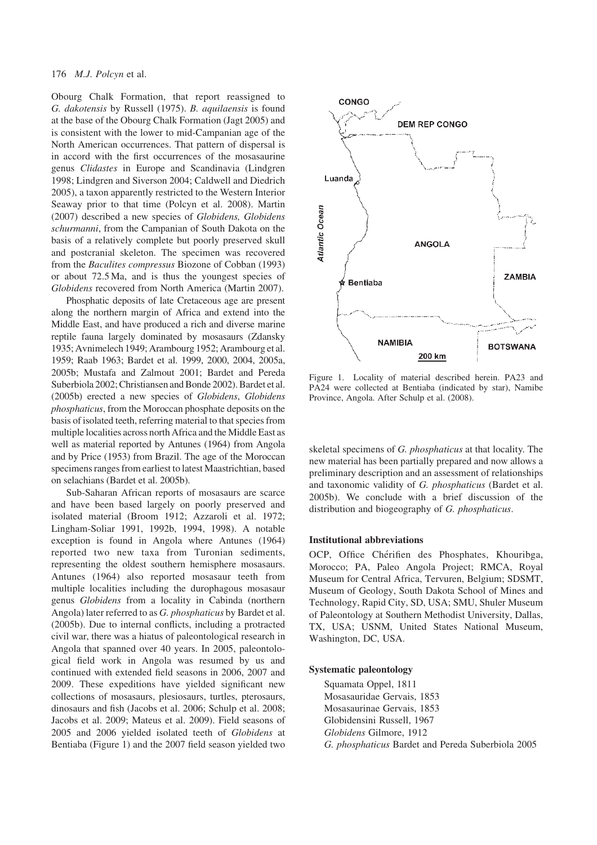Obourg Chalk Formation, that report reassigned to G. dakotensis by Russell (1975). B. aquilaensis is found at the base of the Obourg Chalk Formation (Jagt 2005) and is consistent with the lower to mid-Campanian age of the North American occurrences. That pattern of dispersal is in accord with the first occurrences of the mosasaurine genus Clidastes in Europe and Scandinavia (Lindgren 1998; Lindgren and Siverson 2004; Caldwell and Diedrich 2005), a taxon apparently restricted to the Western Interior Seaway prior to that time (Polcyn et al. 2008). Martin (2007) described a new species of Globidens, Globidens schurmanni, from the Campanian of South Dakota on the basis of a relatively complete but poorly preserved skull and postcranial skeleton. The specimen was recovered from the Baculites compressus Biozone of Cobban (1993) or about 72.5 Ma, and is thus the youngest species of Globidens recovered from North America (Martin 2007).

Phosphatic deposits of late Cretaceous age are present along the northern margin of Africa and extend into the Middle East, and have produced a rich and diverse marine reptile fauna largely dominated by mosasaurs (Zdansky 1935; Avnimelech 1949; Arambourg 1952; Arambourg et al. 1959; Raab 1963; Bardet et al. 1999, 2000, 2004, 2005a, 2005b; Mustafa and Zalmout 2001; Bardet and Pereda Suberbiola 2002; Christiansen and Bonde 2002). Bardet et al. (2005b) erected a new species of Globidens, Globidens phosphaticus, from the Moroccan phosphate deposits on the basis of isolated teeth, referring material to that species from multiple localities across north Africa and the Middle East as well as material reported by Antunes (1964) from Angola and by Price (1953) from Brazil. The age of the Moroccan specimens ranges from earliest to latest Maastrichtian, based on selachians (Bardet et al. 2005b).

Sub-Saharan African reports of mosasaurs are scarce and have been based largely on poorly preserved and isolated material (Broom 1912; Azzaroli et al. 1972; Lingham-Soliar 1991, 1992b, 1994, 1998). A notable exception is found in Angola where Antunes (1964) reported two new taxa from Turonian sediments, representing the oldest southern hemisphere mosasaurs. Antunes (1964) also reported mosasaur teeth from multiple localities including the durophagous mosasaur genus Globidens from a locality in Cabinda (northern Angola) later referred to as G. phosphaticus by Bardet et al. (2005b). Due to internal conflicts, including a protracted civil war, there was a hiatus of paleontological research in Angola that spanned over 40 years. In 2005, paleontological field work in Angola was resumed by us and continued with extended field seasons in 2006, 2007 and 2009. These expeditions have yielded significant new collections of mosasaurs, plesiosaurs, turtles, pterosaurs, dinosaurs and fish (Jacobs et al. 2006; Schulp et al. 2008; Jacobs et al. 2009; Mateus et al. 2009). Field seasons of 2005 and 2006 yielded isolated teeth of Globidens at Bentiaba (Figure 1) and the 2007 field season yielded two



Figure 1. Locality of material described herein. PA23 and PA24 were collected at Bentiaba (indicated by star), Namibe Province, Angola. After Schulp et al. (2008).

skeletal specimens of G. phosphaticus at that locality. The new material has been partially prepared and now allows a preliminary description and an assessment of relationships and taxonomic validity of G. phosphaticus (Bardet et al. 2005b). We conclude with a brief discussion of the distribution and biogeography of G. phosphaticus.

#### Institutional abbreviations

OCP, Office Chérifien des Phosphates, Khouribga, Morocco; PA, Paleo Angola Project; RMCA, Royal Museum for Central Africa, Tervuren, Belgium; SDSMT, Museum of Geology, South Dakota School of Mines and Technology, Rapid City, SD, USA; SMU, Shuler Museum of Paleontology at Southern Methodist University, Dallas, TX, USA; USNM, United States National Museum, Washington, DC, USA.

#### Systematic paleontology

Squamata Oppel, 1811 Mosasauridae Gervais, 1853 Mosasaurinae Gervais, 1853 Globidensini Russell, 1967 Globidens Gilmore, 1912 G. phosphaticus Bardet and Pereda Suberbiola 2005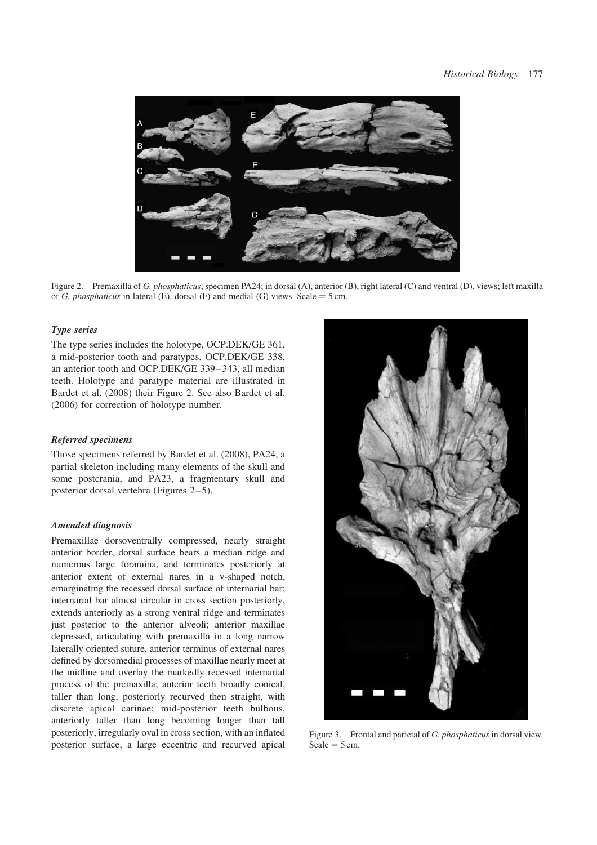

Figure 2. Premaxilla of G. phosphaticus, specimen PA24; in dorsal (A), anterior (B), right lateral (C) and ventral (D), views; left maxilla of G. phosphaticus in lateral (E), dorsal (F) and medial (G) views. Scale = 5 cm.

### Type series

The type series includes the holotype, OCP.DEK/GE 361, a mid-posterior tooth and paratypes, OCP.DEK/GE 338, an anterior tooth and OCP.DEK/GE 339 – 343, all median teeth. Holotype and paratype material are illustrated in Bardet et al. (2008) their Figure 2. See also Bardet et al. (2006) for correction of holotype number.

## Referred specimens

Those specimens referred by Bardet et al. (2008), PA24, a partial skeleton including many elements of the skull and some postcrania, and PA23, a fragmentary skull and posterior dorsal vertebra (Figures  $2-5$ ).

#### Amended diagnosis

Premaxillae dorsoventrally compressed, nearly straight anterior border, dorsal surface bears a median ridge and numerous large foramina, and terminates posteriorly at anterior extent of external nares in a v-shaped notch, emarginating the recessed dorsal surface of internarial bar; internarial bar almost circular in cross section posteriorly, extends anteriorly as a strong ventral ridge and terminates just posterior to the anterior alveoli; anterior maxillae depressed, articulating with premaxilla in a long narrow laterally oriented suture, anterior terminus of external nares defined by dorsomedial processes of maxillae nearly meet at the midline and overlay the markedly recessed internarial process of the premaxilla; anterior teeth broadly conical, taller than long, posteriorly recurved then straight, with discrete apical carinae; mid-posterior teeth bulbous, anteriorly taller than long becoming longer than tall posteriorly, irregularly oval in cross section, with an inflated posterior surface, a large eccentric and recurved apical



Figure 3. Frontal and parietal of G. *phosphaticus* in dorsal view.  $Scale = 5$  cm.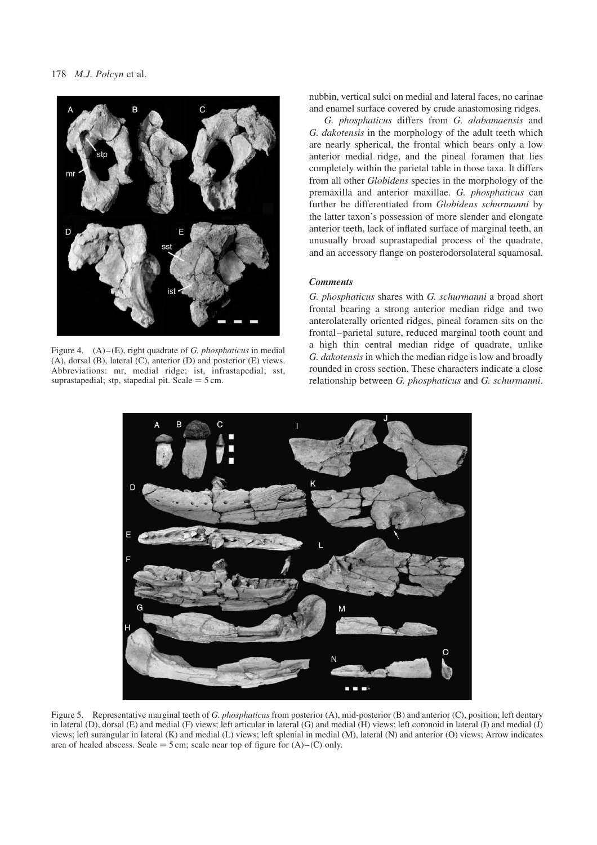

Figure 4.  $(A)$ – $(E)$ , right quadrate of *G. phosphaticus* in medial (A), dorsal (B), lateral (C), anterior (D) and posterior (E) views. Abbreviations: mr, medial ridge; ist, infrastapedial; sst, suprastapedial; stp, stapedial pit. Scale  $=$  5 cm.

nubbin, vertical sulci on medial and lateral faces, no carinae and enamel surface covered by crude anastomosing ridges.

G. phosphaticus differs from G. alabamaensis and G. dakotensis in the morphology of the adult teeth which are nearly spherical, the frontal which bears only a low anterior medial ridge, and the pineal foramen that lies completely within the parietal table in those taxa. It differs from all other Globidens species in the morphology of the premaxilla and anterior maxillae. G. phosphaticus can further be differentiated from Globidens schurmanni by the latter taxon's possession of more slender and elongate anterior teeth, lack of inflated surface of marginal teeth, an unusually broad suprastapedial process of the quadrate, and an accessory flange on posterodorsolateral squamosal.

# **Comments**

G. phosphaticus shares with G. schurmanni a broad short frontal bearing a strong anterior median ridge and two anterolaterally oriented ridges, pineal foramen sits on the frontal –parietal suture, reduced marginal tooth count and a high thin central median ridge of quadrate, unlike G. dakotensis in which the median ridge is low and broadly rounded in cross section. These characters indicate a close relationship between G. phosphaticus and G. schurmanni.



Figure 5. Representative marginal teeth of G. phosphaticus from posterior (A), mid-posterior (B) and anterior (C), position; left dentary in lateral (D), dorsal (E) and medial (F) views; left articular in lateral (G) and medial (H) views; left coronoid in lateral (I) and medial (J) views; left surangular in lateral (K) and medial (L) views; left splenial in medial (M), lateral (N) and anterior (O) views; Arrow indicates area of healed abscess. Scale = 5 cm; scale near top of figure for  $(A)$  –  $(C)$  only.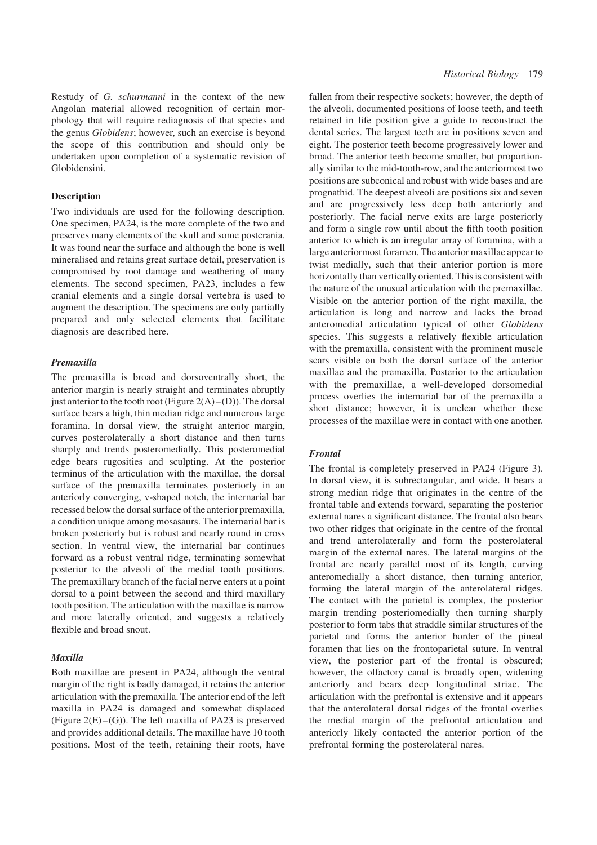Restudy of G. schurmanni in the context of the new Angolan material allowed recognition of certain morphology that will require rediagnosis of that species and the genus Globidens; however, such an exercise is beyond the scope of this contribution and should only be undertaken upon completion of a systematic revision of Globidensini.

### **Description**

Two individuals are used for the following description. One specimen, PA24, is the more complete of the two and preserves many elements of the skull and some postcrania. It was found near the surface and although the bone is well mineralised and retains great surface detail, preservation is compromised by root damage and weathering of many elements. The second specimen, PA23, includes a few cranial elements and a single dorsal vertebra is used to augment the description. The specimens are only partially prepared and only selected elements that facilitate diagnosis are described here.

## Premaxilla

The premaxilla is broad and dorsoventrally short, the anterior margin is nearly straight and terminates abruptly just anterior to the tooth root (Figure  $2(A)$ –(D)). The dorsal surface bears a high, thin median ridge and numerous large foramina. In dorsal view, the straight anterior margin, curves posterolaterally a short distance and then turns sharply and trends posteromedially. This posteromedial edge bears rugosities and sculpting. At the posterior terminus of the articulation with the maxillae, the dorsal surface of the premaxilla terminates posteriorly in an anteriorly converging, v-shaped notch, the internarial bar recessed below the dorsal surface of the anterior premaxilla, a condition unique among mosasaurs. The internarial bar is broken posteriorly but is robust and nearly round in cross section. In ventral view, the internarial bar continues forward as a robust ventral ridge, terminating somewhat posterior to the alveoli of the medial tooth positions. The premaxillary branch of the facial nerve enters at a point dorsal to a point between the second and third maxillary tooth position. The articulation with the maxillae is narrow and more laterally oriented, and suggests a relatively flexible and broad snout.

## Maxilla

Both maxillae are present in PA24, although the ventral margin of the right is badly damaged, it retains the anterior articulation with the premaxilla. The anterior end of the left maxilla in PA24 is damaged and somewhat displaced (Figure  $2(E) - (G)$ ). The left maxilla of PA23 is preserved and provides additional details. The maxillae have 10 tooth positions. Most of the teeth, retaining their roots, have fallen from their respective sockets; however, the depth of the alveoli, documented positions of loose teeth, and teeth retained in life position give a guide to reconstruct the dental series. The largest teeth are in positions seven and eight. The posterior teeth become progressively lower and broad. The anterior teeth become smaller, but proportionally similar to the mid-tooth-row, and the anteriormost two positions are subconical and robust with wide bases and are prognathid. The deepest alveoli are positions six and seven and are progressively less deep both anteriorly and posteriorly. The facial nerve exits are large posteriorly and form a single row until about the fifth tooth position anterior to which is an irregular array of foramina, with a large anteriormost foramen. The anterior maxillae appear to twist medially, such that their anterior portion is more horizontally than vertically oriented. This is consistent with the nature of the unusual articulation with the premaxillae. Visible on the anterior portion of the right maxilla, the articulation is long and narrow and lacks the broad anteromedial articulation typical of other Globidens species. This suggests a relatively flexible articulation with the premaxilla, consistent with the prominent muscle scars visible on both the dorsal surface of the anterior maxillae and the premaxilla. Posterior to the articulation with the premaxillae, a well-developed dorsomedial process overlies the internarial bar of the premaxilla a short distance; however, it is unclear whether these processes of the maxillae were in contact with one another.

#### Frontal

The frontal is completely preserved in PA24 (Figure 3). In dorsal view, it is subrectangular, and wide. It bears a strong median ridge that originates in the centre of the frontal table and extends forward, separating the posterior external nares a significant distance. The frontal also bears two other ridges that originate in the centre of the frontal and trend anterolaterally and form the posterolateral margin of the external nares. The lateral margins of the frontal are nearly parallel most of its length, curving anteromedially a short distance, then turning anterior, forming the lateral margin of the anterolateral ridges. The contact with the parietal is complex, the posterior margin trending posteriomedially then turning sharply posterior to form tabs that straddle similar structures of the parietal and forms the anterior border of the pineal foramen that lies on the frontoparietal suture. In ventral view, the posterior part of the frontal is obscured; however, the olfactory canal is broadly open, widening anteriorly and bears deep longitudinal striae. The articulation with the prefrontal is extensive and it appears that the anterolateral dorsal ridges of the frontal overlies the medial margin of the prefrontal articulation and anteriorly likely contacted the anterior portion of the prefrontal forming the posterolateral nares.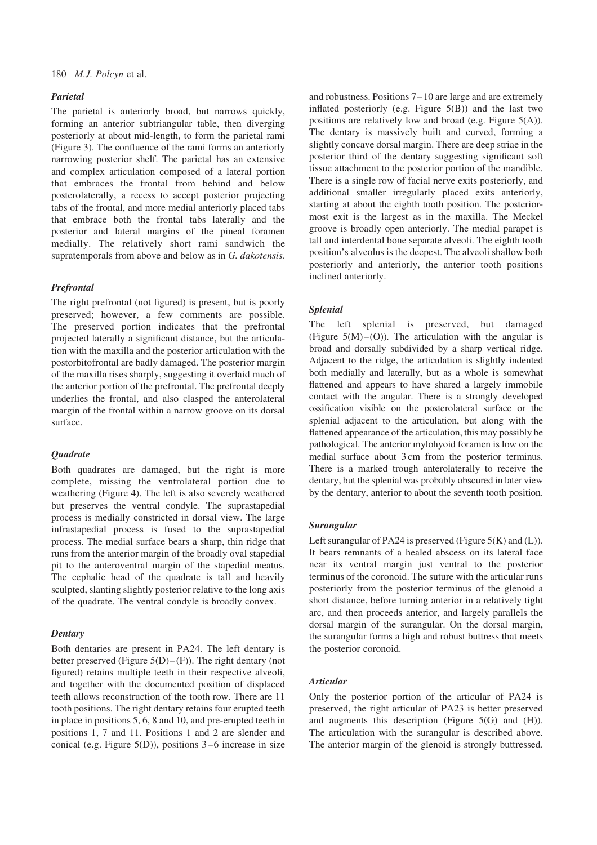## Parietal

The parietal is anteriorly broad, but narrows quickly, forming an anterior subtriangular table, then diverging posteriorly at about mid-length, to form the parietal rami (Figure 3). The confluence of the rami forms an anteriorly narrowing posterior shelf. The parietal has an extensive and complex articulation composed of a lateral portion that embraces the frontal from behind and below posterolaterally, a recess to accept posterior projecting tabs of the frontal, and more medial anteriorly placed tabs that embrace both the frontal tabs laterally and the posterior and lateral margins of the pineal foramen medially. The relatively short rami sandwich the supratemporals from above and below as in G. dakotensis.

### Prefrontal

The right prefrontal (not figured) is present, but is poorly preserved; however, a few comments are possible. The preserved portion indicates that the prefrontal projected laterally a significant distance, but the articulation with the maxilla and the posterior articulation with the postorbitofrontal are badly damaged. The posterior margin of the maxilla rises sharply, suggesting it overlaid much of the anterior portion of the prefrontal. The prefrontal deeply underlies the frontal, and also clasped the anterolateral margin of the frontal within a narrow groove on its dorsal surface.

### **Quadrate**

Both quadrates are damaged, but the right is more complete, missing the ventrolateral portion due to weathering (Figure 4). The left is also severely weathered but preserves the ventral condyle. The suprastapedial process is medially constricted in dorsal view. The large infrastapedial process is fused to the suprastapedial process. The medial surface bears a sharp, thin ridge that runs from the anterior margin of the broadly oval stapedial pit to the anteroventral margin of the stapedial meatus. The cephalic head of the quadrate is tall and heavily sculpted, slanting slightly posterior relative to the long axis of the quadrate. The ventral condyle is broadly convex.

### **Dentary**

Both dentaries are present in PA24. The left dentary is better preserved (Figure  $5(D)$ –(F)). The right dentary (not figured) retains multiple teeth in their respective alveoli, and together with the documented position of displaced teeth allows reconstruction of the tooth row. There are 11 tooth positions. The right dentary retains four erupted teeth in place in positions 5, 6, 8 and 10, and pre-erupted teeth in positions 1, 7 and 11. Positions 1 and 2 are slender and conical (e.g. Figure  $5(D)$ ), positions  $3-6$  increase in size and robustness. Positions 7 –10 are large and are extremely inflated posteriorly (e.g. Figure 5(B)) and the last two positions are relatively low and broad (e.g. Figure 5(A)). The dentary is massively built and curved, forming a slightly concave dorsal margin. There are deep striae in the posterior third of the dentary suggesting significant soft tissue attachment to the posterior portion of the mandible. There is a single row of facial nerve exits posteriorly, and additional smaller irregularly placed exits anteriorly, starting at about the eighth tooth position. The posteriormost exit is the largest as in the maxilla. The Meckel groove is broadly open anteriorly. The medial parapet is tall and interdental bone separate alveoli. The eighth tooth position's alveolus is the deepest. The alveoli shallow both posteriorly and anteriorly, the anterior tooth positions inclined anteriorly.

### Splenial

The left splenial is preserved, but damaged (Figure  $5(M)$ –(O)). The articulation with the angular is broad and dorsally subdivided by a sharp vertical ridge. Adjacent to the ridge, the articulation is slightly indented both medially and laterally, but as a whole is somewhat flattened and appears to have shared a largely immobile contact with the angular. There is a strongly developed ossification visible on the posterolateral surface or the splenial adjacent to the articulation, but along with the flattened appearance of the articulation, this may possibly be pathological. The anterior mylohyoid foramen is low on the medial surface about 3 cm from the posterior terminus. There is a marked trough anterolaterally to receive the dentary, but the splenial was probably obscured in later view by the dentary, anterior to about the seventh tooth position.

### Surangular

Left surangular of PA24 is preserved (Figure 5(K) and (L)). It bears remnants of a healed abscess on its lateral face near its ventral margin just ventral to the posterior terminus of the coronoid. The suture with the articular runs posteriorly from the posterior terminus of the glenoid a short distance, before turning anterior in a relatively tight arc, and then proceeds anterior, and largely parallels the dorsal margin of the surangular. On the dorsal margin, the surangular forms a high and robust buttress that meets the posterior coronoid.

### Articular

Only the posterior portion of the articular of PA24 is preserved, the right articular of PA23 is better preserved and augments this description (Figure 5(G) and (H)). The articulation with the surangular is described above. The anterior margin of the glenoid is strongly buttressed.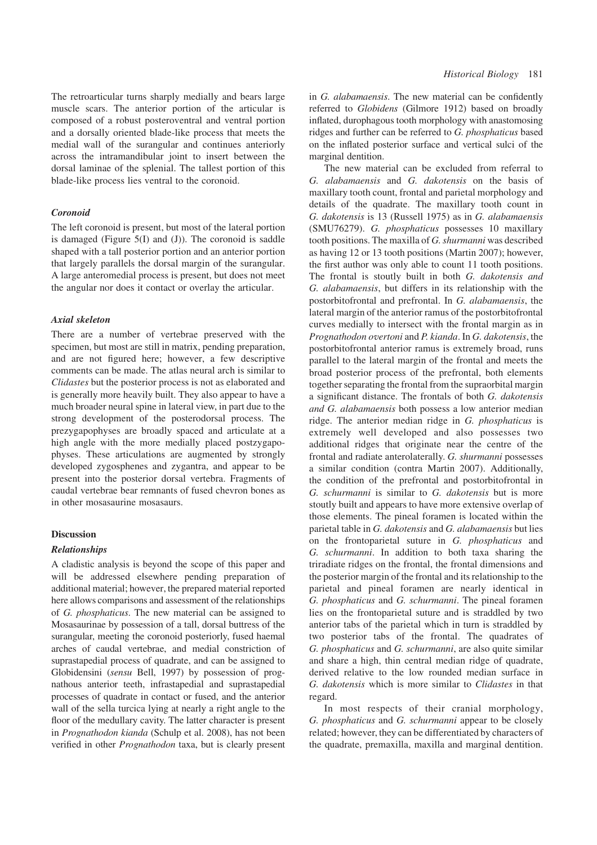The retroarticular turns sharply medially and bears large muscle scars. The anterior portion of the articular is composed of a robust posteroventral and ventral portion and a dorsally oriented blade-like process that meets the medial wall of the surangular and continues anteriorly across the intramandibular joint to insert between the dorsal laminae of the splenial. The tallest portion of this blade-like process lies ventral to the coronoid.

### Coronoid

The left coronoid is present, but most of the lateral portion is damaged (Figure  $5(I)$  and  $(J)$ ). The coronoid is saddle shaped with a tall posterior portion and an anterior portion that largely parallels the dorsal margin of the surangular. A large anteromedial process is present, but does not meet the angular nor does it contact or overlay the articular.

#### Axial skeleton

There are a number of vertebrae preserved with the specimen, but most are still in matrix, pending preparation, and are not figured here; however, a few descriptive comments can be made. The atlas neural arch is similar to Clidastes but the posterior process is not as elaborated and is generally more heavily built. They also appear to have a much broader neural spine in lateral view, in part due to the strong development of the posterodorsal process. The prezygapophyses are broadly spaced and articulate at a high angle with the more medially placed postzygapophyses. These articulations are augmented by strongly developed zygosphenes and zygantra, and appear to be present into the posterior dorsal vertebra. Fragments of caudal vertebrae bear remnants of fused chevron bones as in other mosasaurine mosasaurs.

#### **Discussion**

### Relationships

A cladistic analysis is beyond the scope of this paper and will be addressed elsewhere pending preparation of additional material; however, the prepared material reported here allows comparisons and assessment of the relationships of G. phosphaticus. The new material can be assigned to Mosasaurinae by possession of a tall, dorsal buttress of the surangular, meeting the coronoid posteriorly, fused haemal arches of caudal vertebrae, and medial constriction of suprastapedial process of quadrate, and can be assigned to Globidensini (sensu Bell, 1997) by possession of prognathous anterior teeth, infrastapedial and suprastapedial processes of quadrate in contact or fused, and the anterior wall of the sella turcica lying at nearly a right angle to the floor of the medullary cavity. The latter character is present in Prognathodon kianda (Schulp et al. 2008), has not been verified in other Prognathodon taxa, but is clearly present in G. alabamaensis. The new material can be confidently referred to Globidens (Gilmore 1912) based on broadly inflated, durophagous tooth morphology with anastomosing ridges and further can be referred to G. phosphaticus based on the inflated posterior surface and vertical sulci of the marginal dentition.

The new material can be excluded from referral to G. alabamaensis and G. dakotensis on the basis of maxillary tooth count, frontal and parietal morphology and details of the quadrate. The maxillary tooth count in G. dakotensis is 13 (Russell 1975) as in G. alabamaensis (SMU76279). G. phosphaticus possesses 10 maxillary tooth positions. The maxilla of G. shurmanni was described as having 12 or 13 tooth positions (Martin 2007); however, the first author was only able to count 11 tooth positions. The frontal is stoutly built in both G. dakotensis and G. alabamaensis, but differs in its relationship with the postorbitofrontal and prefrontal. In G. alabamaensis, the lateral margin of the anterior ramus of the postorbitofrontal curves medially to intersect with the frontal margin as in Prognathodon overtoni and P. kianda. In G. dakotensis, the postorbitofrontal anterior ramus is extremely broad, runs parallel to the lateral margin of the frontal and meets the broad posterior process of the prefrontal, both elements together separating the frontal from the supraorbital margin a significant distance. The frontals of both G. dakotensis and G. alabamaensis both possess a low anterior median ridge. The anterior median ridge in G. phosphaticus is extremely well developed and also possesses two additional ridges that originate near the centre of the frontal and radiate anterolaterally. G. shurmanni possesses a similar condition (contra Martin 2007). Additionally, the condition of the prefrontal and postorbitofrontal in G. schurmanni is similar to G. dakotensis but is more stoutly built and appears to have more extensive overlap of those elements. The pineal foramen is located within the parietal table in G. dakotensis and G. alabamaensis but lies on the frontoparietal suture in G. phosphaticus and G. schurmanni. In addition to both taxa sharing the triradiate ridges on the frontal, the frontal dimensions and the posterior margin of the frontal and its relationship to the parietal and pineal foramen are nearly identical in G. phosphaticus and G. schurmanni. The pineal foramen lies on the frontoparietal suture and is straddled by two anterior tabs of the parietal which in turn is straddled by two posterior tabs of the frontal. The quadrates of G. phosphaticus and G. schurmanni, are also quite similar and share a high, thin central median ridge of quadrate, derived relative to the low rounded median surface in G. dakotensis which is more similar to Clidastes in that regard.

In most respects of their cranial morphology, G. phosphaticus and G. schurmanni appear to be closely related; however, they can be differentiated by characters of the quadrate, premaxilla, maxilla and marginal dentition.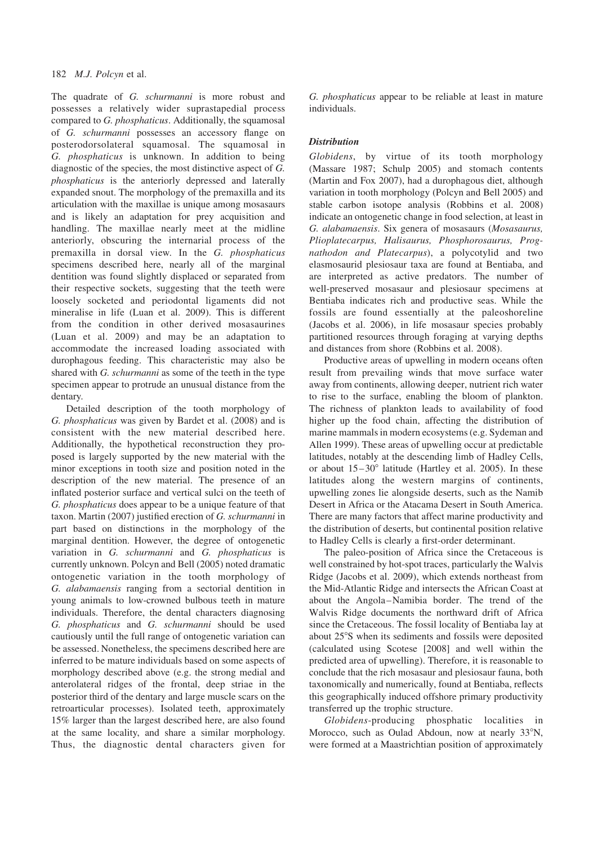## 182 M.J. Polcyn et al.

The quadrate of G. schurmanni is more robust and possesses a relatively wider suprastapedial process compared to G. phosphaticus. Additionally, the squamosal of G. schurmanni possesses an accessory flange on posterodorsolateral squamosal. The squamosal in G. phosphaticus is unknown. In addition to being diagnostic of the species, the most distinctive aspect of G. phosphaticus is the anteriorly depressed and laterally expanded snout. The morphology of the premaxilla and its articulation with the maxillae is unique among mosasaurs and is likely an adaptation for prey acquisition and handling. The maxillae nearly meet at the midline anteriorly, obscuring the internarial process of the premaxilla in dorsal view. In the G. phosphaticus specimens described here, nearly all of the marginal dentition was found slightly displaced or separated from their respective sockets, suggesting that the teeth were loosely socketed and periodontal ligaments did not mineralise in life (Luan et al. 2009). This is different from the condition in other derived mosasaurines (Luan et al. 2009) and may be an adaptation to accommodate the increased loading associated with durophagous feeding. This characteristic may also be shared with G. schurmanni as some of the teeth in the type specimen appear to protrude an unusual distance from the dentary.

Detailed description of the tooth morphology of G. phosphaticus was given by Bardet et al. (2008) and is consistent with the new material described here. Additionally, the hypothetical reconstruction they proposed is largely supported by the new material with the minor exceptions in tooth size and position noted in the description of the new material. The presence of an inflated posterior surface and vertical sulci on the teeth of G. phosphaticus does appear to be a unique feature of that taxon. Martin (2007) justified erection of G. schurmanni in part based on distinctions in the morphology of the marginal dentition. However, the degree of ontogenetic variation in G. schurmanni and G. phosphaticus is currently unknown. Polcyn and Bell (2005) noted dramatic ontogenetic variation in the tooth morphology of G. alabamaensis ranging from a sectorial dentition in young animals to low-crowned bulbous teeth in mature individuals. Therefore, the dental characters diagnosing G. phosphaticus and G. schurmanni should be used cautiously until the full range of ontogenetic variation can be assessed. Nonetheless, the specimens described here are inferred to be mature individuals based on some aspects of morphology described above (e.g. the strong medial and anterolateral ridges of the frontal, deep striae in the posterior third of the dentary and large muscle scars on the retroarticular processes). Isolated teeth, approximately 15% larger than the largest described here, are also found at the same locality, and share a similar morphology. Thus, the diagnostic dental characters given for G. phosphaticus appear to be reliable at least in mature individuals.

## **Distribution**

Globidens, by virtue of its tooth morphology (Massare 1987; Schulp 2005) and stomach contents (Martin and Fox 2007), had a durophagous diet, although variation in tooth morphology (Polcyn and Bell 2005) and stable carbon isotope analysis (Robbins et al. 2008) indicate an ontogenetic change in food selection, at least in G. alabamaensis. Six genera of mosasaurs (Mosasaurus, Plioplatecarpus, Halisaurus, Phosphorosaurus, Prognathodon and Platecarpus), a polycotylid and two elasmosaurid plesiosaur taxa are found at Bentiaba, and are interpreted as active predators. The number of well-preserved mosasaur and plesiosaur specimens at Bentiaba indicates rich and productive seas. While the fossils are found essentially at the paleoshoreline (Jacobs et al. 2006), in life mosasaur species probably partitioned resources through foraging at varying depths and distances from shore (Robbins et al. 2008).

Productive areas of upwelling in modern oceans often result from prevailing winds that move surface water away from continents, allowing deeper, nutrient rich water to rise to the surface, enabling the bloom of plankton. The richness of plankton leads to availability of food higher up the food chain, affecting the distribution of marine mammals in modern ecosystems (e.g. Sydeman and Allen 1999). These areas of upwelling occur at predictable latitudes, notably at the descending limb of Hadley Cells, or about  $15-30^\circ$  latitude (Hartley et al. 2005). In these latitudes along the western margins of continents, upwelling zones lie alongside deserts, such as the Namib Desert in Africa or the Atacama Desert in South America. There are many factors that affect marine productivity and the distribution of deserts, but continental position relative to Hadley Cells is clearly a first-order determinant.

The paleo-position of Africa since the Cretaceous is well constrained by hot-spot traces, particularly the Walvis Ridge (Jacobs et al. 2009), which extends northeast from the Mid-Atlantic Ridge and intersects the African Coast at about the Angola –Namibia border. The trend of the Walvis Ridge documents the northward drift of Africa since the Cretaceous. The fossil locality of Bentiaba lay at about 25°S when its sediments and fossils were deposited (calculated using Scotese [2008] and well within the predicted area of upwelling). Therefore, it is reasonable to conclude that the rich mosasaur and plesiosaur fauna, both taxonomically and numerically, found at Bentiaba, reflects this geographically induced offshore primary productivity transferred up the trophic structure.

Globidens-producing phosphatic localities in Morocco, such as Oulad Abdoun, now at nearly 33°N, were formed at a Maastrichtian position of approximately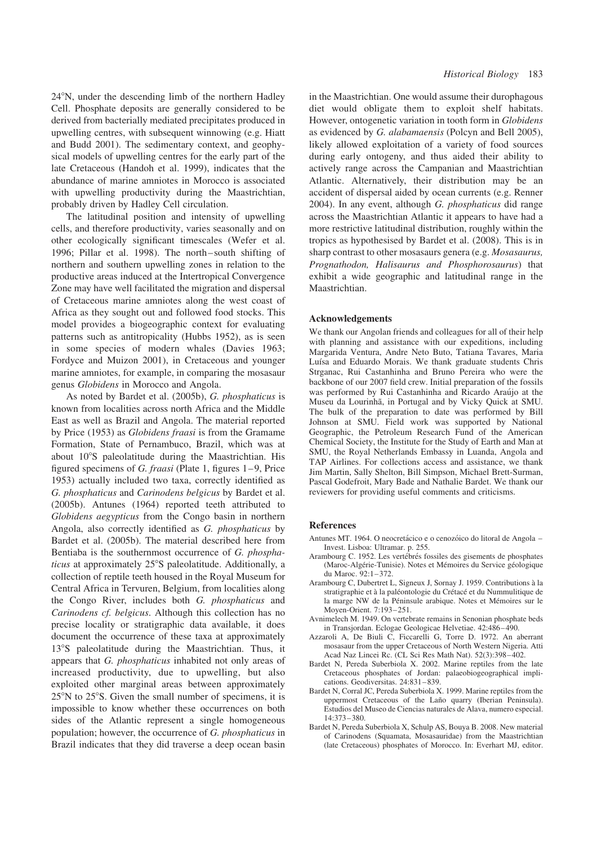24°N, under the descending limb of the northern Hadley Cell. Phosphate deposits are generally considered to be derived from bacterially mediated precipitates produced in upwelling centres, with subsequent winnowing (e.g. Hiatt and Budd 2001). The sedimentary context, and geophysical models of upwelling centres for the early part of the late Cretaceous (Handoh et al. 1999), indicates that the abundance of marine amniotes in Morocco is associated with upwelling productivity during the Maastrichtian, probably driven by Hadley Cell circulation.

The latitudinal position and intensity of upwelling cells, and therefore productivity, varies seasonally and on other ecologically significant timescales (Wefer et al. 1996; Pillar et al. 1998). The north – south shifting of northern and southern upwelling zones in relation to the productive areas induced at the Intertropical Convergence Zone may have well facilitated the migration and dispersal of Cretaceous marine amniotes along the west coast of Africa as they sought out and followed food stocks. This model provides a biogeographic context for evaluating patterns such as antitropicality (Hubbs 1952), as is seen in some species of modern whales (Davies 1963; Fordyce and Muizon 2001), in Cretaceous and younger marine amniotes, for example, in comparing the mosasaur genus Globidens in Morocco and Angola.

As noted by Bardet et al. (2005b), G. phosphaticus is known from localities across north Africa and the Middle East as well as Brazil and Angola. The material reported by Price (1953) as Globidens fraasi is from the Gramame Formation, State of Pernambuco, Brazil, which was at about 10°S paleolatitude during the Maastrichtian. His figured specimens of G. fraasi (Plate 1, figures  $1-9$ , Price 1953) actually included two taxa, correctly identified as G. phosphaticus and Carinodens belgicus by Bardet et al. (2005b). Antunes (1964) reported teeth attributed to Globidens aegypticus from the Congo basin in northern Angola, also correctly identified as G. phosphaticus by Bardet et al. (2005b). The material described here from Bentiaba is the southernmost occurrence of G. phosphaticus at approximately 25°S paleolatitude. Additionally, a collection of reptile teeth housed in the Royal Museum for Central Africa in Tervuren, Belgium, from localities along the Congo River, includes both G. phosphaticus and Carinodens cf. belgicus. Although this collection has no precise locality or stratigraphic data available, it does document the occurrence of these taxa at approximately 13°S paleolatitude during the Maastrichtian. Thus, it appears that G. phosphaticus inhabited not only areas of increased productivity, due to upwelling, but also exploited other marginal areas between approximately  $25^{\circ}$ N to  $25^{\circ}$ S. Given the small number of specimens, it is impossible to know whether these occurrences on both sides of the Atlantic represent a single homogeneous population; however, the occurrence of G. phosphaticus in Brazil indicates that they did traverse a deep ocean basin in the Maastrichtian. One would assume their durophagous diet would obligate them to exploit shelf habitats. However, ontogenetic variation in tooth form in Globidens as evidenced by G. alabamaensis (Polcyn and Bell 2005), likely allowed exploitation of a variety of food sources during early ontogeny, and thus aided their ability to actively range across the Campanian and Maastrichtian Atlantic. Alternatively, their distribution may be an accident of dispersal aided by ocean currents (e.g. Renner 2004). In any event, although G. phosphaticus did range across the Maastrichtian Atlantic it appears to have had a more restrictive latitudinal distribution, roughly within the tropics as hypothesised by Bardet et al. (2008). This is in sharp contrast to other mosasaurs genera (e.g. Mosasaurus, Prognathodon, Halisaurus and Phosphorosaurus) that exhibit a wide geographic and latitudinal range in the Maastrichtian.

#### Acknowledgements

We thank our Angolan friends and colleagues for all of their help with planning and assistance with our expeditions, including Margarida Ventura, Andre Neto Buto, Tatiana Tavares, Maria Luísa and Eduardo Morais. We thank graduate students Chris Strganac, Rui Castanhinha and Bruno Pereira who were the backbone of our 2007 field crew. Initial preparation of the fossils was performed by Rui Castanhinha and Ricardo Araújo at the Museu da Lourinhã, in Portugal and by Vicky Quick at SMU. The bulk of the preparation to date was performed by Bill Johnson at SMU. Field work was supported by National Geographic, the Petroleum Research Fund of the American Chemical Society, the Institute for the Study of Earth and Man at SMU, the Royal Netherlands Embassy in Luanda, Angola and TAP Airlines. For collections access and assistance, we thank Jim Martin, Sally Shelton, Bill Simpson, Michael Brett-Surman, Pascal Godefroit, Mary Bade and Nathalie Bardet. We thank our reviewers for providing useful comments and criticisms.

#### References

- Antunes MT. 1964. O neocretácico e o cenozóico do litoral de Angola Invest. Lisboa: Ultramar. p. 255.
- Arambourg C. 1952. Les vertébrés fossiles des gisements de phosphates (Maroc-Algérie-Tunisie). Notes et Mémoires du Service géologique du Maroc. 92:1–372.
- Arambourg C, Dubertret L, Signeux J, Sornay J. 1959. Contributions a` la stratigraphie et à la paléontologie du Crétacé et du Nummulitique de la marge NW de la Péninsule arabique. Notes et Mémoires sur le Moyen-Orient. 7:193–251.
- Avnimelech M. 1949. On vertebrate remains in Senonian phosphate beds in Transjordan. Eclogae Geologicae Helvetiae. 42:486–490.
- Azzaroli A, De Biuli C, Ficcarelli G, Torre D. 1972. An aberrant mosasaur from the upper Cretaceous of North Western Nigeria. Atti Acad Naz Lincei Rc. (CL Sci Res Math Nat). 52(3):398–402.
- Bardet N, Pereda Suberbiola X. 2002. Marine reptiles from the late Cretaceous phosphates of Jordan: palaeobiogeographical implications. Geodiversitas. 24:831–839.
- Bardet N, Corral JC, Pereda Suberbiola X. 1999. Marine reptiles from the uppermost Cretaceous of the Laño quarry (Iberian Peninsula). Estudios del Museo de Ciencias naturales de Alava, numero especial. 14:373–380.
- Bardet N, Pereda Suberbiola X, Schulp AS, Bouya B. 2008. New material of Carinodens (Squamata, Mosasauridae) from the Maastrichtian (late Cretaceous) phosphates of Morocco. In: Everhart MJ, editor.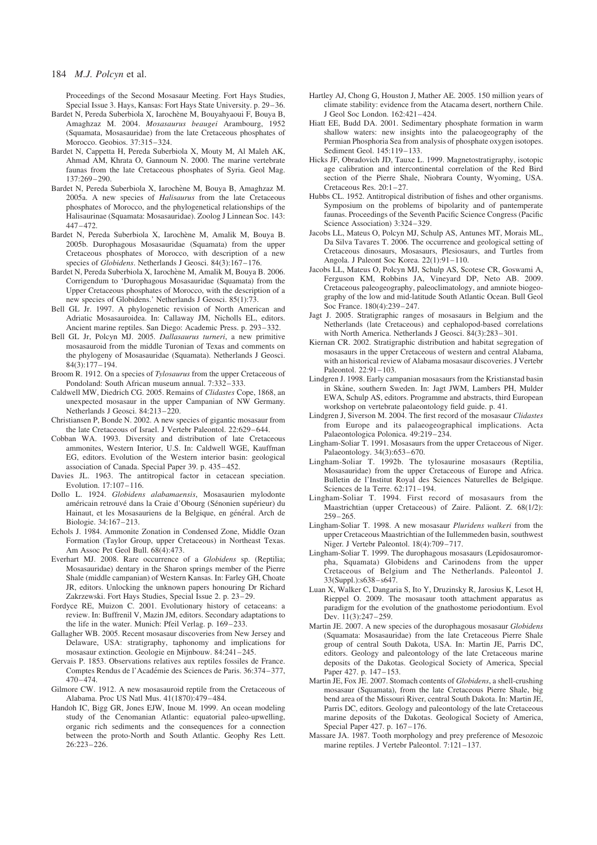#### 184 M.J. Polcyn et al.

Proceedings of the Second Mosasaur Meeting. Fort Hays Studies, Special Issue 3. Hays, Kansas: Fort Hays State University. p. 29–36.

- Bardet N, Pereda Suberbiola X, Iarochène M, Bouyahyaoui F, Bouya B, Amaghzaz M. 2004. Mosasaurus beaugei Arambourg, 1952 (Squamata, Mosasauridae) from the late Cretaceous phosphates of Morocco. Geobios. 37:315–324.
- Bardet N, Cappetta H, Pereda Suberbiola X, Mouty M, Al Maleh AK, Ahmad AM, Khrata O, Gannoum N. 2000. The marine vertebrate faunas from the late Cretaceous phosphates of Syria. Geol Mag. 137:269–290.
- Bardet N, Pereda Suberbiola X, Iarochène M, Bouya B, Amaghzaz M. 2005a. A new species of Halisaurus from the late Cretaceous phosphates of Morocco, and the phylogenetical relationships of the Halisaurinae (Squamata: Mosasauridae). Zoolog J Linnean Soc. 143:  $447 - 472$ .
- Bardet N, Pereda Suberbiola X, Iarochène M, Amalik M, Bouya B. 2005b. Durophagous Mosasauridae (Squamata) from the upper Cretaceous phosphates of Morocco, with description of a new species of Globidens. Netherlands J Geosci. 84(3):167–176.
- Bardet N, Pereda Suberbiola X, Iarochène M, Amalik M, Bouya B. 2006. Corrigendum to 'Durophagous Mosasauridae (Squamata) from the Upper Cretaceous phosphates of Morocco, with the description of a new species of Globidens.' Netherlands J Geosci. 85(1):73.
- Bell GL Jr. 1997. A phylogenetic revision of North American and Adriatic Mosasauroidea. In: Callaway JM, Nicholls EL, editors. Ancient marine reptiles. San Diego: Academic Press. p. 293–332.
- Bell GL Jr, Polcyn MJ. 2005. Dallasaurus turneri, a new primitive mosasauroid from the middle Turonian of Texas and comments on the phylogeny of Mosasauridae (Squamata). Netherlands J Geosci. 84(3):177–194.
- Broom R. 1912. On a species of Tylosaurus from the upper Cretaceous of Pondoland: South African museum annual. 7:332–333.
- Caldwell MW, Diedrich CG. 2005. Remains of Clidastes Cope, 1868, an unexpected mosasaur in the upper Campanian of NW Germany. Netherlands J Geosci. 84:213–220.
- Christiansen P, Bonde N. 2002. A new species of gigantic mosasaur from the late Cretaceous of Israel. J Vertebr Paleontol. 22:629– 644.
- Cobban WA. 1993. Diversity and distribution of late Cretaceous ammonites, Western Interior, U.S. In: Caldwell WGE, Kauffman EG, editors. Evolution of the Western interior basin: geological association of Canada. Special Paper 39. p. 435-452.
- Davies JL. 1963. The antitropical factor in cetacean speciation. Evolution. 17:107–116.
- Dollo L. 1924. Globidens alabamaensis, Mosasaurien mylodonte américain retrouvé dans la Craie d'Obourg (Sénonien supérieur) du Hainaut, et les Mosasauriens de la Belgique, en général. Arch de Biologie. 34:167–213.
- Echols J. 1984. Ammonite Zonation in Condensed Zone, Middle Ozan Formation (Taylor Group, upper Cretaceous) in Northeast Texas. Am Assoc Pet Geol Bull. 68(4):473.
- Everhart MJ. 2008. Rare occurrence of a Globidens sp. (Reptilia; Mosasauridae) dentary in the Sharon springs member of the Pierre Shale (middle campanian) of Western Kansas. In: Farley GH, Choate JR, editors. Unlocking the unknown papers honouring Dr Richard Zakrzewski. Fort Hays Studies, Special Issue 2. p. 23-29.
- Fordyce RE, Muizon C. 2001. Evolutionary history of cetaceans: a review. In: Buffrenil V, Mazin JM, editors. Secondary adaptations to the life in the water. Munich: Pfeil Verlag. p. 169–233.
- Gallagher WB. 2005. Recent mosasaur discoveries from New Jersey and Delaware, USA: stratigraphy, taphonomy and implications for mosasaur extinction. Geologie en Mijnbouw. 84:241–245.
- Gervais P. 1853. Observations relatives aux reptiles fossiles de France. Comptes Rendus de l'Académie des Sciences de Paris. 36:374–377,  $470 - 474$
- Gilmore CW. 1912. A new mosasauroid reptile from the Cretaceous of Alabama. Proc US Natl Mus. 41(1870):479–484.
- Handoh IC, Bigg GR, Jones EJW, Inoue M. 1999. An ocean modeling study of the Cenomanian Atlantic: equatorial paleo-upwelling, organic rich sediments and the consequences for a connection between the proto-North and South Atlantic. Geophy Res Lett. 26:223–226.
- Hartley AJ, Chong G, Houston J, Mather AE. 2005. 150 million years of climate stability: evidence from the Atacama desert, northern Chile. J Geol Soc London. 162:421–424.
- Hiatt EE, Budd DA. 2001. Sedimentary phosphate formation in warm shallow waters: new insights into the palaeogeography of the Permian Phosphoria Sea from analysis of phosphate oxygen isotopes. Sediment Geol. 145:119–133.
- Hicks JF, Obradovich JD, Tauxe L. 1999. Magnetostratigraphy, isotopic age calibration and intercontinental correlation of the Red Bird section of the Pierre Shale, Niobrara County, Wyoming, USA. Cretaceous Res. 20:1-27.
- Hubbs CL. 1952. Antitropical distribution of fishes and other organisms. Symposium on the problems of bipolarity and of pantemperate faunas. Proceedings of the Seventh Pacific Science Congress (Pacific Science Association) 3:324–329.
- Jacobs LL, Mateus O, Polcyn MJ, Schulp AS, Antunes MT, Morais ML, Da Silva Tavares T. 2006. The occurrence and geological setting of Cretaceous dinosaurs, Mosasaurs, Plesiosaurs, and Turtles from Angola. J Paleont Soc Korea. 22(1):91–110.
- Jacobs LL, Mateus O, Polcyn MJ, Schulp AS, Scotese CR, Goswami A, Ferguson KM, Robbins JA, Vineyard DP, Neto AB. 2009. Cretaceous paleogeography, paleoclimatology, and amniote biogeography of the low and mid-latitude South Atlantic Ocean. Bull Geol Soc France. 180(4):239–247.
- Jagt J. 2005. Stratigraphic ranges of mosasaurs in Belgium and the Netherlands (late Cretaceous) and cephalopod-based correlations with North America. Netherlands J Geosci. 84(3):283–301.
- Kiernan CR. 2002. Stratigraphic distribution and habitat segregation of mosasaurs in the upper Cretaceous of western and central Alabama, with an historical review of Alabama mosasaur discoveries. J Vertebr Paleontol. 22:91–103.
- Lindgren J. 1998. Early campanian mosasaurs from the Kristianstad basin in Skåne, southern Sweden. In: Jagt JWM, Lambers PH, Mulder EWA, Schulp AS, editors. Programme and abstracts, third European workshop on vertebrate palaeontology field guide. p. 41.
- Lindgren J, Siverson M. 2004. The first record of the mosasaur Clidastes from Europe and its palaeogeographical implications. Acta Palaeontologica Polonica. 49:219-234.
- Lingham-Soliar T. 1991. Mosasaurs from the upper Cretaceous of Niger. Palaeontology. 34(3):653–670.
- Lingham-Soliar T. 1992b. The tylosaurine mosasaurs (Reptilia, Mosasauridae) from the upper Cretaceous of Europe and Africa. Bulletin de l'Institut Royal des Sciences Naturelles de Belgique. Sciences de la Terre. 62:171–194.
- Lingham-Soliar T. 1994. First record of mosasaurs from the Maastrichtian (upper Cretaceous) of Zaire. Paläont. Z. 68(1/2):  $259 - 265$
- Lingham-Soliar T. 1998. A new mosasaur Pluridens walkeri from the upper Cretaceous Maastrichtian of the Iullemmeden basin, southwest Niger. J Vertebr Paleontol. 18(4):709–717.
- Lingham-Soliar T. 1999. The durophagous mosasaurs (Lepidosauromorpha, Squamata) Globidens and Carinodens from the upper Cretaceous of Belgium and The Netherlands. Paleontol J. 33(Suppl.):s638– s647.
- Luan X, Walker C, Dangaria S, Ito Y, Druzinsky R, Jarosius K, Lesot H, Rieppel O. 2009. The mosasaur tooth attachment apparatus as paradigm for the evolution of the gnathostome periodontium. Evol Dev. 11(3):247-259.
- Martin JE. 2007. A new species of the durophagous mosasaur Globidens (Squamata: Mosasauridae) from the late Cretaceous Pierre Shale group of central South Dakota, USA. In: Martin JE, Parris DC, editors. Geology and paleontology of the late Cretaceous marine deposits of the Dakotas. Geological Society of America, Special Paper 427. p. 147-153.
- Martin JE, Fox JE. 2007. Stomach contents of Globidens, a shell-crushing mosasaur (Squamata), from the late Cretaceous Pierre Shale, big bend area of the Missouri River, central South Dakota. In: Martin JE, Parris DC, editors. Geology and paleontology of the late Cretaceous marine deposits of the Dakotas. Geological Society of America, Special Paper 427. p. 167-176.
- Massare JA. 1987. Tooth morphology and prey preference of Mesozoic marine reptiles. J Vertebr Paleontol. 7:121–137.